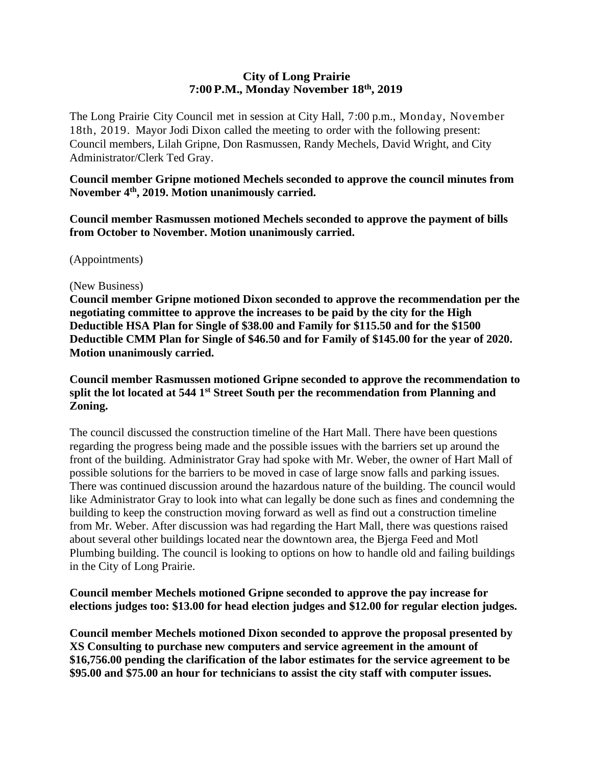#### **City of Long Prairie 7:00P.M., Monday November 18th, 2019**

The Long Prairie City Council met in session at City Hall, 7:00 p.m., Monday, November 18th, 2019. Mayor Jodi Dixon called the meeting to order with the following present: Council members, Lilah Gripne, Don Rasmussen, Randy Mechels, David Wright, and City Administrator/Clerk Ted Gray.

**Council member Gripne motioned Mechels seconded to approve the council minutes from November 4th, 2019. Motion unanimously carried.**

**Council member Rasmussen motioned Mechels seconded to approve the payment of bills from October to November. Motion unanimously carried.**

(Appointments)

#### (New Business)

**Council member Gripne motioned Dixon seconded to approve the recommendation per the negotiating committee to approve the increases to be paid by the city for the High Deductible HSA Plan for Single of \$38.00 and Family for \$115.50 and for the \$1500 Deductible CMM Plan for Single of \$46.50 and for Family of \$145.00 for the year of 2020. Motion unanimously carried.** 

## **Council member Rasmussen motioned Gripne seconded to approve the recommendation to split the lot located at 544 1st Street South per the recommendation from Planning and Zoning.**

The council discussed the construction timeline of the Hart Mall. There have been questions regarding the progress being made and the possible issues with the barriers set up around the front of the building. Administrator Gray had spoke with Mr. Weber, the owner of Hart Mall of possible solutions for the barriers to be moved in case of large snow falls and parking issues. There was continued discussion around the hazardous nature of the building. The council would like Administrator Gray to look into what can legally be done such as fines and condemning the building to keep the construction moving forward as well as find out a construction timeline from Mr. Weber. After discussion was had regarding the Hart Mall, there was questions raised about several other buildings located near the downtown area, the Bjerga Feed and Motl Plumbing building. The council is looking to options on how to handle old and failing buildings in the City of Long Prairie.

#### **Council member Mechels motioned Gripne seconded to approve the pay increase for elections judges too: \$13.00 for head election judges and \$12.00 for regular election judges.**

**Council member Mechels motioned Dixon seconded to approve the proposal presented by XS Consulting to purchase new computers and service agreement in the amount of \$16,756.00 pending the clarification of the labor estimates for the service agreement to be \$95.00 and \$75.00 an hour for technicians to assist the city staff with computer issues.**